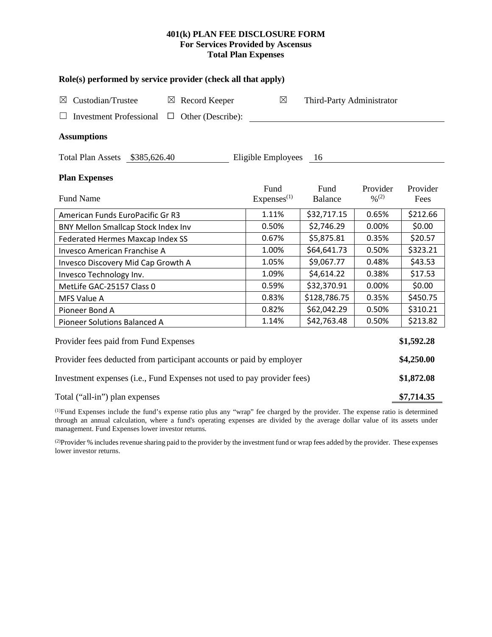# **401(k) PLAN FEE DISCLOSURE FORM For Services Provided by Ascensus Total Plan Expenses**

| Role(s) performed by service provider (check all that apply)            |                                |                           |                               |                  |  |  |  |  |
|-------------------------------------------------------------------------|--------------------------------|---------------------------|-------------------------------|------------------|--|--|--|--|
| Custodian/Trustee<br>Record Keeper<br>$\boxtimes$<br>$\bowtie$          | $\boxtimes$                    | Third-Party Administrator |                               |                  |  |  |  |  |
| <b>Investment Professional</b><br>Other (Describe):<br>$\Box$           |                                |                           |                               |                  |  |  |  |  |
| <b>Assumptions</b>                                                      |                                |                           |                               |                  |  |  |  |  |
| Total Plan Assets \$385,626.40                                          | Eligible Employees 16          |                           |                               |                  |  |  |  |  |
| <b>Plan Expenses</b>                                                    |                                |                           |                               |                  |  |  |  |  |
| <b>Fund Name</b>                                                        | Fund<br>Express <sup>(1)</sup> | Fund<br>Balance           | Provider<br>$\frac{0}{0}$ (2) | Provider<br>Fees |  |  |  |  |
| American Funds EuroPacific Gr R3                                        | 1.11%                          | \$32,717.15               | 0.65%                         | \$212.66         |  |  |  |  |
| <b>BNY Mellon Smallcap Stock Index Inv</b>                              | 0.50%                          | \$2,746.29                | 0.00%                         | \$0.00           |  |  |  |  |
| <b>Federated Hermes Maxcap Index SS</b>                                 | 0.67%                          | \$5,875.81                | 0.35%                         | \$20.57          |  |  |  |  |
| <b>Invesco American Franchise A</b>                                     | 1.00%                          | \$64,641.73               | 0.50%                         | \$323.21         |  |  |  |  |
| Invesco Discovery Mid Cap Growth A                                      | 1.05%                          | \$9,067.77                | 0.48%                         | \$43.53          |  |  |  |  |
| Invesco Technology Inv.                                                 | 1.09%                          | \$4,614.22                | 0.38%                         | \$17.53          |  |  |  |  |
| MetLife GAC-25157 Class 0                                               | 0.59%                          | \$32,370.91               | 0.00%                         | \$0.00           |  |  |  |  |
| MFS Value A                                                             | 0.83%                          | \$128,786.75              | 0.35%                         | \$450.75         |  |  |  |  |
| Pioneer Bond A                                                          | 0.82%                          | \$62,042.29               | 0.50%                         | \$310.21         |  |  |  |  |
| Pioneer Solutions Balanced A                                            | 1.14%                          | \$42,763.48               | 0.50%                         | \$213.82         |  |  |  |  |
| Provider fees paid from Fund Expenses                                   |                                |                           |                               | \$1,592.28       |  |  |  |  |
| Provider fees deducted from participant accounts or paid by employer    |                                |                           |                               |                  |  |  |  |  |
| Investment expenses (i.e., Fund Expenses not used to pay provider fees) |                                |                           |                               |                  |  |  |  |  |
| Total ("all-in") plan expenses                                          |                                |                           |                               |                  |  |  |  |  |

(1) Fund Expenses include the fund's expense ratio plus any "wrap" fee charged by the provider. The expense ratio is determined through an annual calculation, where a fund's operating expenses are divided by the average dollar value of its assets under management. Fund Expenses lower investor returns.

(2) Provider % includes revenue sharing paid to the provider by the investment fund or wrap fees added by the provider. These expenses lower investor returns.